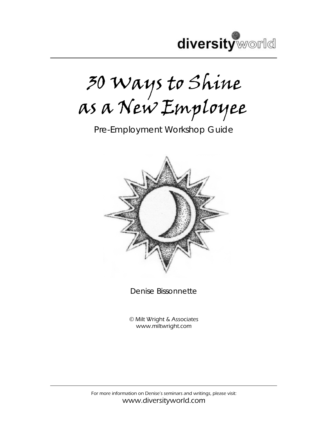

30 Ways to Shine as a New Employee

Pre-Employment Workshop Guide



Denise Bissonnette

© Milt Wright & Associates www.miltwright.com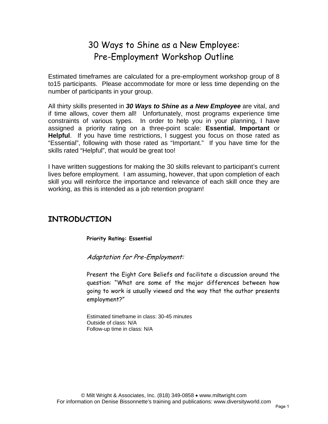# 30 Ways to Shine as a New Employee: Pre-Employment Workshop Outline

Estimated timeframes are calculated for a pre-employment workshop group of 8 to15 participants. Please accommodate for more or less time depending on the number of participants in your group.

All thirty skills presented in *30 Ways to Shine as a New Employee* are vital, and if time allows, cover them all! Unfortunately, most programs experience time constraints of various types. In order to help you in your planning, I have assigned a priority rating on a three-point scale: **Essential**, **Important** or **Helpful**. If you have time restrictions, I suggest you focus on those rated as "Essential", following with those rated as "Important." If you have time for the skills rated "Helpful", that would be great too!

I have written suggestions for making the 30 skills relevant to participant's current lives before employment. I am assuming, however, that upon completion of each skill you will reinforce the importance and relevance of each skill once they are working, as this is intended as a job retention program!

# **INTRODUCTION**

**Priority Rating: Essential** 

Adaptation for Pre-Employment:

Present the Eight Core Beliefs and facilitate a discussion around the question: "What are some of the major differences between how going to work is usually viewed and the way that the author presents employment?"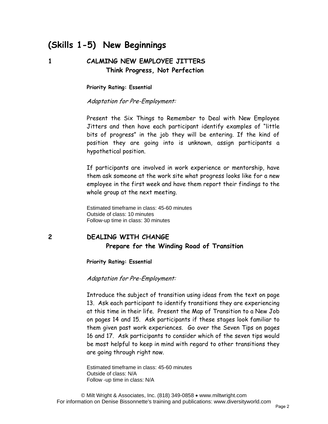# **(Skills 1-5) New Beginnings**

## **1 CALMING NEW EMPLOYEE JITTERS Think Progress, Not Perfection**

**Priority Rating: Essential** 

Adaptation for Pre-Employment:

Present the Six Things to Remember to Deal with New Employee Jitters and then have each participant identify examples of "little bits of progress" in the job they will be entering. If the kind of position they are going into is unknown, assign participants a hypothetical position.

If participants are involved in work experience or mentorship, have them ask someone at the work site what progress looks like for a new employee in the first week and have them report their findings to the whole group at the next meeting.

Estimated timeframe in class: 45-60 minutes Outside of class: 10 minutes Follow-up time in class: 30 minutes

# **2 DEALING WITH CHANGE Prepare for the Winding Road of Transition**

**Priority Rating: Essential** 

Adaptation for Pre-Employment:

Introduce the subject of transition using ideas from the text on page 13. Ask each participant to identify transitions they are experiencing at this time in their life. Present the Map of Transition to a New Job on pages 14 and 15. Ask participants if these stages look familiar to them given past work experiences. Go over the Seven Tips on pages 16 and 17. Ask participants to consider which of the seven tips would be most helpful to keep in mind with regard to other transitions they are going through right now.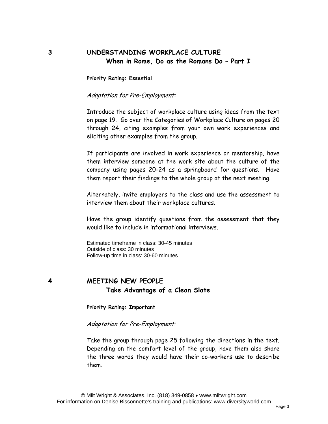## **3 UNDERSTANDING WORKPLACE CULTURE When in Rome, Do as the Romans Do – Part I**

**Priority Rating: Essential** 

Adaptation for Pre-Employment:

Introduce the subject of workplace culture using ideas from the text on page 19. Go over the Categories of Workplace Culture on pages 20 through 24, citing examples from your own work experiences and eliciting other examples from the group.

If participants are involved in work experience or mentorship, have them interview someone at the work site about the culture of the company using pages 20-24 as a springboard for questions. Have them report their findings to the whole group at the next meeting.

Alternately, invite employers to the class and use the assessment to interview them about their workplace cultures.

Have the group identify questions from the assessment that they would like to include in informational interviews.

Estimated timeframe in class: 30-45 minutes Outside of class: 30 minutes Follow-up time in class: 30-60 minutes

## **4 MEETING NEW PEOPLE Take Advantage of a Clean Slate**

**Priority Rating: Important** 

Adaptation for Pre-Employment:

Take the group through page 25 following the directions in the text. Depending on the comfort level of the group, have them also share the three words they would have their co-workers use to describe them.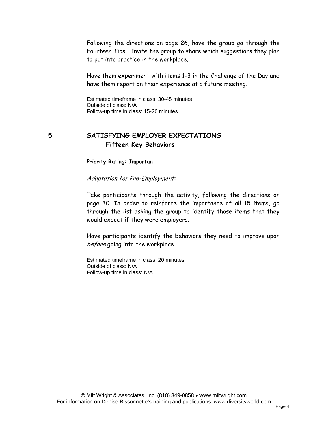Following the directions on page 26, have the group go through the Fourteen Tips. Invite the group to share which suggestions they plan to put into practice in the workplace.

Have them experiment with items 1-3 in the Challenge of the Day and have them report on their experience at a future meeting.

Estimated timeframe in class: 30-45 minutes Outside of class: N/A Follow-up time in class: 15-20 minutes

## **5 SATISFYING EMPLOYER EXPECTATIONS Fifteen Key Behaviors**

**Priority Rating: Important** 

Adaptation for Pre-Employment:

Take participants through the activity, following the directions on page 30. In order to reinforce the importance of all 15 items, go through the list asking the group to identify those items that they would expect if they were employers.

Have participants identify the behaviors they need to improve upon before going into the workplace.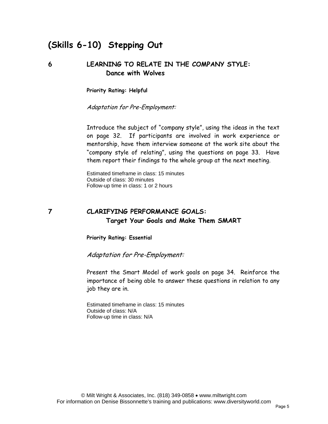# **(Skills 6-10) Stepping Out**

#### **6 LEARNING TO RELATE IN THE COMPANY STYLE: Dance with Wolves**

**Priority Rating: Helpful** 

Adaptation for Pre-Employment:

Introduce the subject of "company style", using the ideas in the text on page 32. If participants are involved in work experience or mentorship, have them interview someone at the work site about the "company style of relating", using the questions on page 33. Have them report their findings to the whole group at the next meeting.

Estimated timeframe in class: 15 minutes Outside of class: 30 minutes Follow-up time in class: 1 or 2 hours

# **7 CLARIFYING PERFORMANCE GOALS: Target Your Goals and Make Them SMART**

**Priority Rating: Essential** 

Adaptation for Pre-Employment:

Present the Smart Model of work goals on page 34. Reinforce the importance of being able to answer these questions in relation to any job they are in.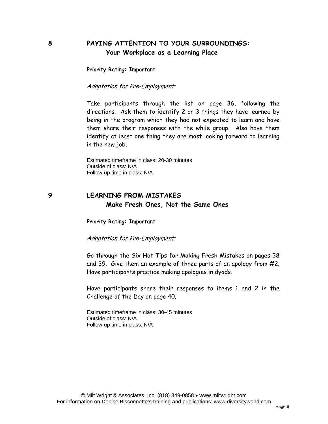#### **8 PAYING ATTENTION TO YOUR SURROUNDINGS: Your Workplace as a Learning Place**

**Priority Rating: Important** 

Adaptation for Pre-Employment:

Take participants through the list on page 36, following the directions. Ask them to identify 2 or 3 things they have learned by being in the program which they had not expected to learn and have them share their responses with the while group. Also have them identify at least one thing they are most looking forward to learning in the new job.

Estimated timeframe in class: 20-30 minutes Outside of class: N/A Follow-up time in class: N/A

#### **9 LEARNING FROM MISTAKES Make Fresh Ones, Not the Same Ones**

**Priority Rating: Important** 

Adaptation for Pre-Employment:

Go through the Six Hot Tips for Making Fresh Mistakes on pages 38 and 39. Give them an example of three parts of an apology from #2. Have participants practice making apologies in dyads.

Have participants share their responses to items 1 and 2 in the Challenge of the Day on page 40.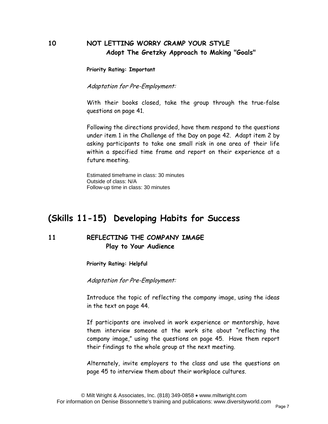## **10 NOT LETTING WORRY CRAMP YOUR STYLE Adopt The Gretzky Approach to Making "Goals"**

**Priority Rating: Important** 

Adaptation for Pre-Employment:

With their books closed, take the group through the true-false questions on page 41.

Following the directions provided, have them respond to the questions under item 1 in the Challenge of the Day on page 42. Adapt item 2 by asking participants to take one small risk in one area of their life within a specified time frame and report on their experience at a future meeting.

Estimated timeframe in class: 30 minutes Outside of class: N/A Follow-up time in class: 30 minutes

# **(Skills 11-15) Developing Habits for Success**

## **11 REFLECTING THE COMPANY IMAGE Play to Your Audience**

**Priority Rating: Helpful** 

Adaptation for Pre-Employment:

Introduce the topic of reflecting the company image, using the ideas in the text on page 44.

If participants are involved in work experience or mentorship, have them interview someone at the work site about "reflecting the company image," using the questions on page 45. Have them report their findings to the whole group at the next meeting.

Alternately, invite employers to the class and use the questions on page 45 to interview them about their workplace cultures.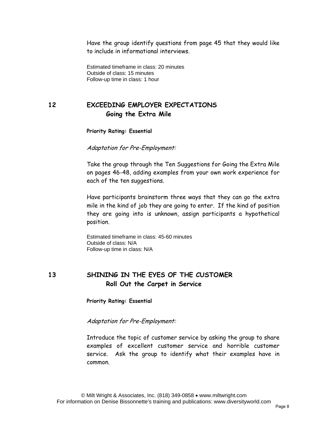Have the group identify questions from page 45 that they would like to include in informational interviews.

Estimated timeframe in class: 20 minutes Outside of class: 15 minutes Follow-up time in class: 1 hour

# **12 EXCEEDING EMPLOYER EXPECTATIONS Going the Extra Mile**

**Priority Rating: Essential** 

Adaptation for Pre-Employment:

Take the group through the Ten Suggestions for Going the Extra Mile on pages 46-48, adding examples from your own work experience for each of the ten suggestions.

Have participants brainstorm three ways that they can go the extra mile in the kind of job they are going to enter. If the kind of position they are going into is unknown, assign participants a hypothetical position.

Estimated timeframe in class: 45-60 minutes Outside of class: N/A Follow-up time in class: N/A

#### **13 SHINING IN THE EYES OF THE CUSTOMER Roll Out the Carpet in Service**

**Priority Rating: Essential** 

#### Adaptation for Pre-Employment:

Introduce the topic of customer service by asking the group to share examples of excellent customer service and horrible customer service. Ask the group to identify what their examples have in common.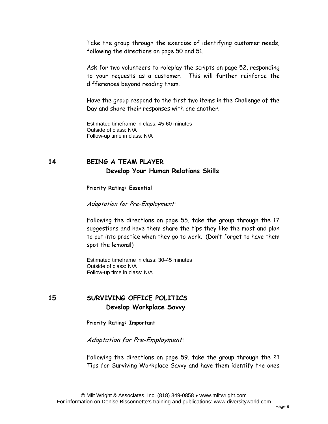Take the group through the exercise of identifying customer needs, following the directions on page 50 and 51.

Ask for two volunteers to roleplay the scripts on page 52, responding to your requests as a customer. This will further reinforce the differences beyond reading them.

Have the group respond to the first two items in the Challenge of the Day and share their responses with one another.

Estimated timeframe in class: 45-60 minutes Outside of class: N/A Follow-up time in class: N/A

## **14 BEING A TEAM PLAYER Develop Your Human Relations Skills**

**Priority Rating: Essential** 

Adaptation for Pre-Employment:

Following the directions on page 55, take the group through the 17 suggestions and have them share the tips they like the most and plan to put into practice when they go to work. (Don't forget to have them spot the lemons!)

Estimated timeframe in class: 30-45 minutes Outside of class: N/A Follow-up time in class: N/A

# **15 SURVIVING OFFICE POLITICS Develop Workplace Savvy**

**Priority Rating: Important** 

Adaptation for Pre-Employment:

Following the directions on page 59, take the group through the 21 Tips for Surviving Workplace Savvy and have them identify the ones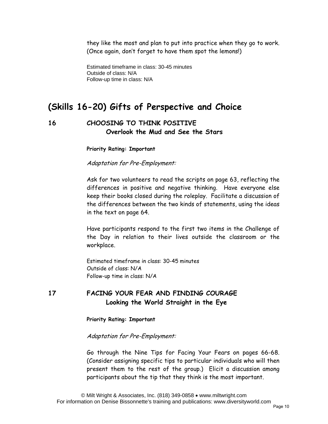they like the most and plan to put into practice when they go to work. (Once again, don't forget to have them spot the lemons!)

Estimated timeframe in class: 30-45 minutes Outside of class: N/A Follow-up time in class: N/A

# **(Skills 16-20) Gifts of Perspective and Choice**

# **16 CHOOSING TO THINK POSITIVE Overlook the Mud and See the Stars**

**Priority Rating: Important** 

Adaptation for Pre-Employment:

Ask for two volunteers to read the scripts on page 63, reflecting the differences in positive and negative thinking. Have everyone else keep their books closed during the roleplay. Facilitate a discussion of the differences between the two kinds of statements, using the ideas in the text on page 64.

Have participants respond to the first two items in the Challenge of the Day in relation to their lives outside the classroom or the workplace.

Estimated timeframe in class: 30-45 minutes Outside of class: N/A Follow-up time in class: N/A

# **17 FACING YOUR FEAR AND FINDING COURAGE Looking the World Straight in the Eye**

**Priority Rating: Important** 

Adaptation for Pre-Employment:

Go through the Nine Tips for Facing Your Fears on pages 66-68. (Consider assigning specific tips to particular individuals who will then present them to the rest of the group.) Elicit a discussion among participants about the tip that they think is the most important.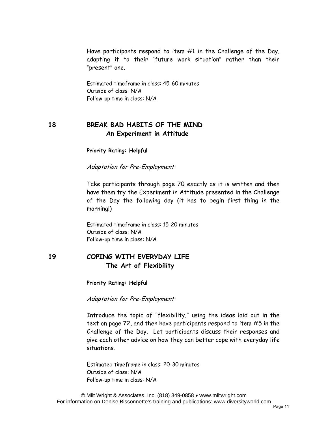Have participants respond to item #1 in the Challenge of the Day, adapting it to their "future work situation" rather than their "present" one.

Estimated timeframe in class: 45-60 minutes Outside of class: N/A Follow-up time in class: N/A

## **18 BREAK BAD HABITS OF THE MIND An Experiment in Attitude**

**Priority Rating: Helpful** 

Adaptation for Pre-Employment:

Take participants through page 70 exactly as it is written and then have them try the Experiment in Attitude presented in the Challenge of the Day the following day (it has to begin first thing in the morning!)

Estimated timeframe in class: 15-20 minutes Outside of class: N/A Follow-up time in class: N/A

#### **19 COPING WITH EVERYDAY LIFE The Art of Flexibility**

**Priority Rating: Helpful** 

Adaptation for Pre-Employment:

Introduce the topic of "flexibility," using the ideas laid out in the text on page 72, and then have participants respond to item #5 in the Challenge of the Day. Let participants discuss their responses and give each other advice on how they can better cope with everyday life situations.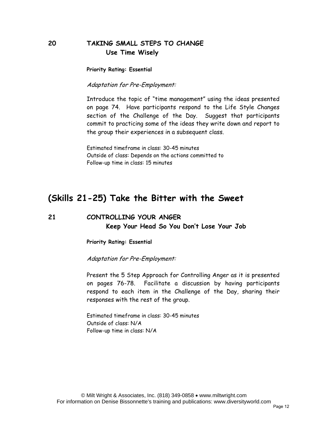## **20 TAKING SMALL STEPS TO CHANGE Use Time Wisely**

**Priority Rating: Essential** 

Adaptation for Pre-Employment:

Introduce the topic of "time management" using the ideas presented on page 74. Have participants respond to the Life Style Changes section of the Challenge of the Day. Suggest that participants commit to practicing some of the ideas they write down and report to the group their experiences in a subsequent class.

Estimated timeframe in class: 30-45 minutes Outside of class: Depends on the actions committed to Follow-up time in class: 15 minutes

# **(Skills 21-25) Take the Bitter with the Sweet**

#### **21 CONTROLLING YOUR ANGER Keep Your Head So You Don't Lose Your Job**

**Priority Rating: Essential** 

Adaptation for Pre-Employment:

Present the 5 Step Approach for Controlling Anger as it is presented on pages 76-78. Facilitate a discussion by having participants respond to each item in the Challenge of the Day, sharing their responses with the rest of the group.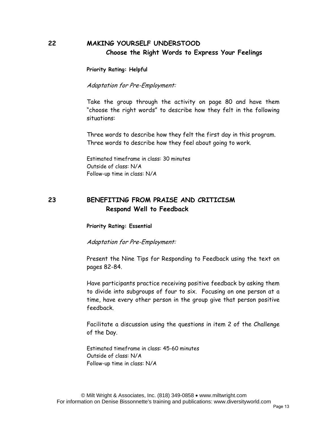# **22 MAKING YOURSELF UNDERSTOOD Choose the Right Words to Express Your Feelings**

**Priority Rating: Helpful** 

Adaptation for Pre-Employment:

Take the group through the activity on page 80 and have them "choose the right words" to describe how they felt in the following situations:

Three words to describe how they felt the first day in this program. Three words to describe how they feel about going to work.

Estimated timeframe in class: 30 minutes Outside of class: N/A Follow-up time in class: N/A

#### **23 BENEFITING FROM PRAISE AND CRITICISM Respond Well to Feedback**

#### **Priority Rating: Essential**

Adaptation for Pre-Employment:

Present the Nine Tips for Responding to Feedback using the text on pages 82-84.

Have participants practice receiving positive feedback by asking them to divide into subgroups of four to six. Focusing on one person at a time, have every other person in the group give that person positive feedback.

Facilitate a discussion using the questions in item 2 of the Challenge of the Day.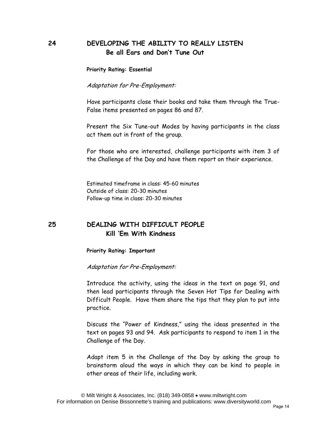#### **24 DEVELOPING THE ABILITY TO REALLY LISTEN Be all Ears and Don't Tune Out**

**Priority Rating: Essential** 

Adaptation for Pre-Employment:

Have participants close their books and take them through the True-False items presented on pages 86 and 87.

Present the Six Tune-out Modes by having participants in the class act them out in front of the group.

For those who are interested, challenge participants with item 3 of the Challenge of the Day and have them report on their experience.

Estimated timeframe in class: 45-60 minutes Outside of class: 20-30 minutes Follow-up time in class: 20-30 minutes

## **25 DEALING WITH DIFFICULT PEOPLE Kill 'Em With Kindness**

**Priority Rating: Important** 

Adaptation for Pre-Employment:

Introduce the activity, using the ideas in the text on page 91, and then lead participants through the Seven Hot Tips for Dealing with Difficult People. Have them share the tips that they plan to put into practice.

Discuss the "Power of Kindness," using the ideas presented in the text on pages 93 and 94. Ask participants to respond to item 1 in the Challenge of the Day.

Adapt item 5 in the Challenge of the Day by asking the group to brainstorm aloud the ways in which they can be kind to people in other areas of their life, including work.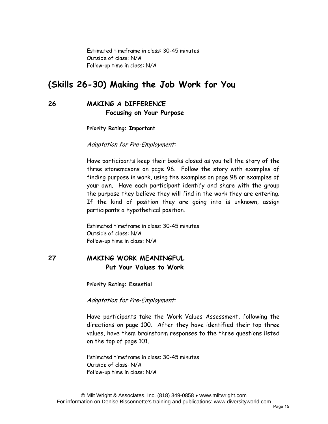Estimated timeframe in class: 30-45 minutes Outside of class: N/A Follow-up time in class: N/A

# **(Skills 26-30) Making the Job Work for You**

#### **26 MAKING A DIFFERENCE Focusing on Your Purpose**

**Priority Rating: Important** 

Adaptation for Pre-Employment:

Have participants keep their books closed as you tell the story of the three stonemasons on page 98. Follow the story with examples of finding purpose in work, using the examples on page 98 or examples of your own. Have each participant identify and share with the group the purpose they believe they will find in the work they are entering. If the kind of position they are going into is unknown, assign participants a hypothetical position.

Estimated timeframe in class: 30-45 minutes Outside of class: N/A Follow-up time in class: N/A

## **27 MAKING WORK MEANINGFUL Put Your Values to Work**

**Priority Rating: Essential** 

Adaptation for Pre-Employment:

Have participants take the Work Values Assessment, following the directions on page 100. After they have identified their top three values, have them brainstorm responses to the three questions listed on the top of page 101.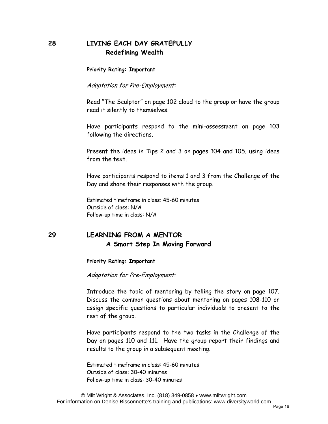## **28 LIVING EACH DAY GRATEFULLY Redefining Wealth**

**Priority Rating: Important** 

Adaptation for Pre-Employment:

Read "The Sculptor" on page 102 aloud to the group or have the group read it silently to themselves.

Have participants respond to the mini-assessment on page 103 following the directions.

Present the ideas in Tips 2 and 3 on pages 104 and 105, using ideas from the text.

Have participants respond to items 1 and 3 from the Challenge of the Day and share their responses with the group.

Estimated timeframe in class: 45-60 minutes Outside of class: N/A Follow-up time in class: N/A

#### **29 LEARNING FROM A MENTOR A Smart Step In Moving Forward**

**Priority Rating: Important** 

Adaptation for Pre-Employment:

Introduce the topic of mentoring by telling the story on page 107. Discuss the common questions about mentoring on pages 108-110 or assign specific questions to particular individuals to present to the rest of the group.

Have participants respond to the two tasks in the Challenge of the Day on pages 110 and 111. Have the group report their findings and results to the group in a subsequent meeting.

Estimated timeframe in class: 45-60 minutes Outside of class: 30-40 minutes Follow-up time in class: 30-40 minutes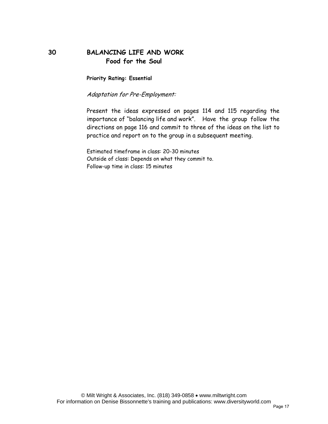## **30 BALANCING LIFE AND WORK Food for the Soul**

**Priority Rating: Essential** 

Adaptation for Pre-Employment:

Present the ideas expressed on pages 114 and 115 regarding the importance of "balancing life and work". Have the group follow the directions on page 116 and commit to three of the ideas on the list to practice and report on to the group in a subsequent meeting.

Estimated timeframe in class: 20-30 minutes Outside of class: Depends on what they commit to. Follow-up time in class: 15 minutes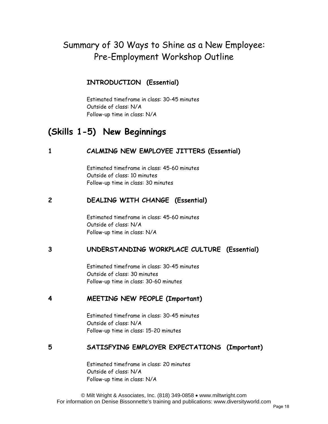# Summary of 30 Ways to Shine as a New Employee: Pre-Employment Workshop Outline

# **INTRODUCTION (Essential)**

Estimated timeframe in class: 30-45 minutes Outside of class: N/A Follow-up time in class: N/A

# **(Skills 1-5) New Beginnings**

# **1 CALMING NEW EMPLOYEE JITTERS (Essential)**

Estimated timeframe in class: 45-60 minutes Outside of class: 10 minutes Follow-up time in class: 30 minutes

## **2 DEALING WITH CHANGE (Essential)**

Estimated timeframe in class: 45-60 minutes Outside of class: N/A Follow-up time in class: N/A

# **3 UNDERSTANDING WORKPLACE CULTURE (Essential)**

Estimated timeframe in class: 30-45 minutes Outside of class: 30 minutes Follow-up time in class: 30-60 minutes

#### **4 MEETING NEW PEOPLE (Important)**

Estimated timeframe in class: 30-45 minutes Outside of class: N/A Follow-up time in class: 15-20 minutes

# **5 SATISFYING EMPLOYER EXPECTATIONS (Important)**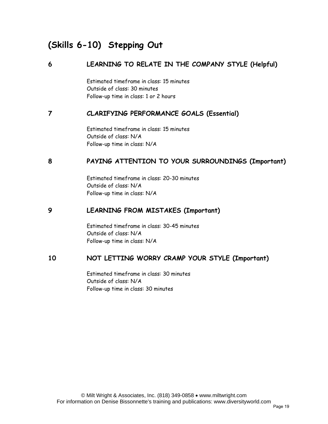# **(Skills 6-10) Stepping Out**

# **6 LEARNING TO RELATE IN THE COMPANY STYLE (Helpful)**

Estimated timeframe in class: 15 minutes Outside of class: 30 minutes Follow-up time in class: 1 or 2 hours

## **7 CLARIFYING PERFORMANCE GOALS (Essential)**

Estimated timeframe in class: 15 minutes Outside of class: N/A Follow-up time in class: N/A

# **8 PAYING ATTENTION TO YOUR SURROUNDINGS (Important)**

Estimated timeframe in class: 20-30 minutes Outside of class: N/A Follow-up time in class: N/A

## **9 LEARNING FROM MISTAKES (Important)**

Estimated timeframe in class: 30-45 minutes Outside of class: N/A Follow-up time in class: N/A

# **10 NOT LETTING WORRY CRAMP YOUR STYLE (Important)**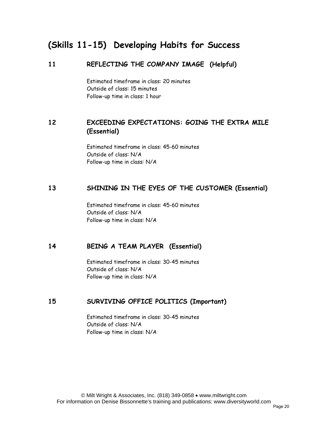# **(Skills 11-15) Developing Habits for Success**

#### **11 REFLECTING THE COMPANY IMAGE (Helpful)**

Estimated timeframe in class: 20 minutes Outside of class: 15 minutes Follow-up time in class: 1 hour

## **12 EXCEEDING EXPECTATIONS: GOING THE EXTRA MILE (Essential)**

Estimated timeframe in class: 45-60 minutes Outside of class: N/A Follow-up time in class: N/A

#### **13 SHINING IN THE EYES OF THE CUSTOMER (Essential)**

Estimated timeframe in class: 45-60 minutes Outside of class: N/A Follow-up time in class: N/A

#### **14 BEING A TEAM PLAYER (Essential)**

Estimated timeframe in class: 30-45 minutes Outside of class: N/A Follow-up time in class: N/A

#### **15 SURVIVING OFFICE POLITICS (Important)**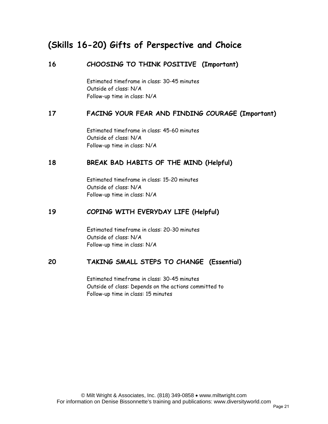# **(Skills 16-20) Gifts of Perspective and Choice**

## **16 CHOOSING TO THINK POSITIVE (Important)**

Estimated timeframe in class: 30-45 minutes Outside of class: N/A Follow-up time in class: N/A

#### **17 FACING YOUR FEAR AND FINDING COURAGE (Important)**

Estimated timeframe in class: 45-60 minutes Outside of class: N/A Follow-up time in class: N/A

#### **18 BREAK BAD HABITS OF THE MIND (Helpful)**

Estimated timeframe in class: 15-20 minutes Outside of class: N/A Follow-up time in class: N/A

## **19 COPING WITH EVERYDAY LIFE (Helpful)**

Estimated timeframe in class: 20-30 minutes Outside of class: N/A Follow-up time in class: N/A

#### **20 TAKING SMALL STEPS TO CHANGE (Essential)**

Estimated timeframe in class: 30-45 minutes Outside of class: Depends on the actions committed to Follow-up time in class: 15 minutes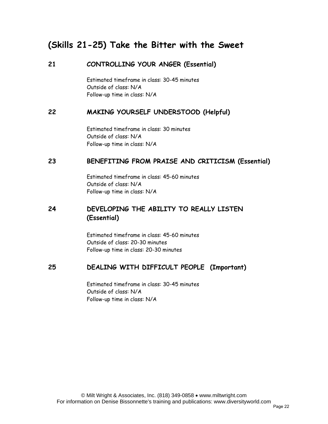# **(Skills 21-25) Take the Bitter with the Sweet**

#### **21 CONTROLLING YOUR ANGER (Essential)**

Estimated timeframe in class: 30-45 minutes Outside of class: N/A Follow-up time in class: N/A

#### **22 MAKING YOURSELF UNDERSTOOD (Helpful)**

Estimated timeframe in class: 30 minutes Outside of class: N/A Follow-up time in class: N/A

#### **23 BENEFITING FROM PRAISE AND CRITICISM (Essential)**

Estimated timeframe in class: 45-60 minutes Outside of class: N/A Follow-up time in class: N/A

## **24 DEVELOPING THE ABILITY TO REALLY LISTEN (Essential)**

Estimated timeframe in class: 45-60 minutes Outside of class: 20-30 minutes Follow-up time in class: 20-30 minutes

#### **25 DEALING WITH DIFFICULT PEOPLE (Important)**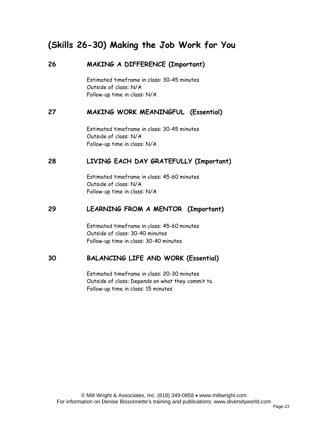# **(Skills 26-30) Making the Job Work for You**

#### **26 MAKING A DIFFERENCE (Important)**

Estimated timeframe in class: 30-45 minutes Outside of class: N/A Follow-up time in class: N/A

#### **27 MAKING WORK MEANINGFUL (Essential)**

Estimated timeframe in class: 30-45 minutes Outside of class: N/A Follow-up time in class: N/A

#### **28 LIVING EACH DAY GRATEFULLY (Important)**

Estimated timeframe in class: 45-60 minutes Outside of class: N/A Follow-up time in class: N/A

#### **29 LEARNING FROM A MENTOR (Important)**

Estimated timeframe in class: 45-60 minutes Outside of class: 30-40 minutes Follow-up time in class: 30-40 minutes

#### **30 BALANCING LIFE AND WORK (Essential)**

Estimated timeframe in class: 20-30 minutes Outside of class: Depends on what they commit to. Follow-up time in class: 15 minutes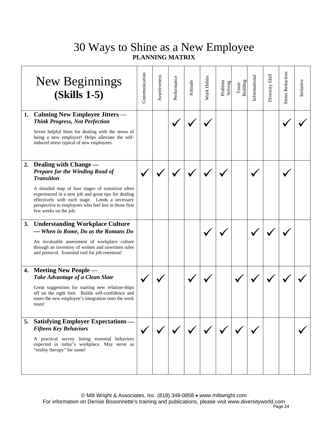|    | New Beginnings<br><b>(Skills 1-5)</b>                                                                                                                                                                                                                                                                                            | Communication | Assertiveness | Performance | Attitude | Work Habits | Problem<br>Solving | Building<br>$\mathrm{Team}$ | Informational | Diversity Skill | <b>Stress Reduction</b> | Initiative |
|----|----------------------------------------------------------------------------------------------------------------------------------------------------------------------------------------------------------------------------------------------------------------------------------------------------------------------------------|---------------|---------------|-------------|----------|-------------|--------------------|-----------------------------|---------------|-----------------|-------------------------|------------|
|    | 1. Calming New Employee Jitters —<br><b>Think Progress, Not Perfection</b><br>Seven helpful hints for dealing with the stress of<br>being a new employee! Helps alleviate the self-<br>induced stress typical of new employees.                                                                                                  |               |               |             |          |             |                    |                             |               |                 |                         |            |
|    | 2. Dealing with Change -<br>Prepare for the Winding Road of<br><b>Transition</b><br>A detailed map of four stages of transition often<br>experienced in a new job and great tips for dealing<br>effectively with each stage. Lends a necessary<br>perspective to employees who feel lost in those first<br>few weeks on the job. |               |               |             |          |             |                    |                             |               |                 |                         |            |
| 3. | <b>Understanding Workplace Culture</b><br>- When in Rome, Do as the Romans Do<br>An invaluable assessment of workplace culture<br>through an inventory of written and unwritten rules<br>and protocol. Essential tool for job retention!                                                                                         |               |               |             |          |             |                    |                             |               |                 |                         |            |
|    | 4. Meeting New People -<br>Take Advantage of a Clean Slate<br>Great suggestions for starting new relation-ships<br>off on the right foot. Builds self-confidence and<br>eases the new employee's integration onto the work<br>team!                                                                                              |               |               |             |          |             |                    |                             |               |                 |                         |            |
|    | 5. Satisfying Employer Expectations —<br><b>Fifteen Key Behaviors</b><br>A practical survey listing essential behaviors<br>expected in today's workplace. May serve as<br>"reality therapy" for some!                                                                                                                            |               |               |             |          |             |                    |                             |               |                 |                         |            |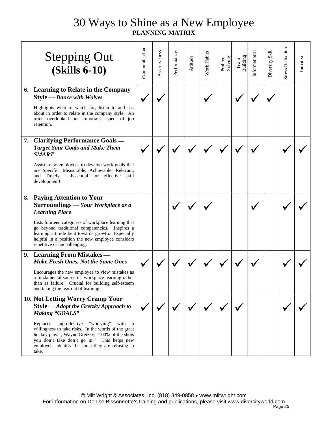|    | <b>Stepping Out</b><br><b>(Skills 6-10)</b>                                                                                                                                                                                                                                                                                                                                   | <b>Communication</b> | Assertiveness | Performance | Attitude | Work Habits | Problem<br>Solving | Building<br>$\mathrm{Team}$ | Informational | Diversity Skill | <b>Stress Reduction</b> | Initiative |
|----|-------------------------------------------------------------------------------------------------------------------------------------------------------------------------------------------------------------------------------------------------------------------------------------------------------------------------------------------------------------------------------|----------------------|---------------|-------------|----------|-------------|--------------------|-----------------------------|---------------|-----------------|-------------------------|------------|
| 6. | <b>Learning to Relate in the Company</b><br><b>Style</b> - Dance with Wolves<br>Highlights what to watch for, listen to and ask<br>about in order to relate in the company style. An<br>often overlooked but important aspect of job<br>retention.                                                                                                                            |                      |               |             |          |             |                    |                             |               |                 |                         |            |
| 7. | <b>Clarifying Performance Goals —</b><br><b>Target Your Goals and Make Them</b><br><b>SMART</b><br>Assists new employees to develop work goals that<br>are Specific, Measurable, Achievable, Relevant,<br>and Timely.<br>Essential for effective skill<br>development!                                                                                                        |                      |               |             |          |             |                    |                             |               |                 |                         |            |
| 8. | <b>Paying Attention to Your</b><br>Surroundings - Your Workplace as a<br><b>Learning Place</b><br>Lists fourteen categories of workplace learning that<br>go beyond traditional competencies. Inspires a<br>learning attitude bent towards growth. Especially<br>helpful in a position the new employee considers<br>repetitive or unchallenging.                             |                      |               |             |          |             |                    |                             |               |                 |                         |            |
|    | 9. Learning From Mistakes —<br><b>Make Fresh Ones, Not the Same Ones</b><br>Encourages the new employee to view mistakes as<br>a fundamental source of workplace learning rather<br>than as failure. Crucial for building self-esteem<br>and taking the fear out of learning.                                                                                                 |                      |               |             |          |             |                    |                             |               |                 |                         |            |
|    | 10. Not Letting Worry Cramp Your<br>Style - Adopt the Gretzky Approach to<br>Making "GOALS"<br>Replaces<br>unproductive<br>"worrying"<br>with<br>a a<br>willingness to take risks. In the words of the great<br>hockey player, Wayne Gretzky, "100% of the shots<br>you don't take don't go in." This helps new<br>employees identify the shots they are refusing to<br>take. |                      |               |             |          |             |                    |                             |               |                 |                         |            |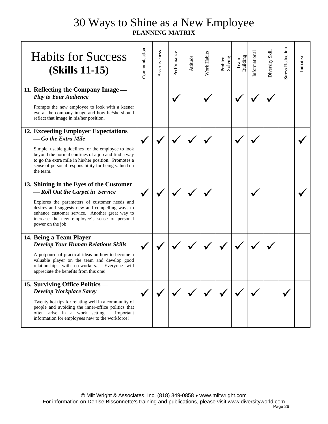| <b>Habits for Success</b><br><b>(Skills 11-15)</b>                                                                                                                                                                                                                                                     | Communication | Assertiveness | Performance | Attitude | <b>Nork Habits</b> | Problem<br>Solving | Team<br>Building | Informational | Diversity Skill | <b>Stress Reduction</b> | Initiative |
|--------------------------------------------------------------------------------------------------------------------------------------------------------------------------------------------------------------------------------------------------------------------------------------------------------|---------------|---------------|-------------|----------|--------------------|--------------------|------------------|---------------|-----------------|-------------------------|------------|
| 11. Reflecting the Company Image -<br><b>Play to Your Audience</b><br>Prompts the new employee to look with a keener<br>eye at the company image and how he/she should<br>reflect that image in his/her position.                                                                                      |               |               |             |          |                    |                    |                  |               |                 |                         |            |
| 12. Exceeding Employer Expectations<br>-Go the Extra Mile<br>Simple, usable guidelines for the employee to look<br>beyond the normal confines of a job and find a way<br>to go the extra mile in his/her position. Promotes a<br>sense of personal responsibility for being valued on<br>the team.     |               |               |             |          |                    |                    |                  |               |                 |                         |            |
| 13. Shining in the Eyes of the Customer<br>-Roll Out the Carpet in Service<br>Explores the parameters of customer needs and<br>desires and suggests new and compelling ways to<br>enhance customer service. Another great way to<br>increase the new employee's sense of personal<br>power on the job! |               |               |             |          |                    |                    |                  |               |                 |                         |            |
| 14. Being a Team Player -<br><b>Develop Your Human Relations Skills</b><br>A potpourri of practical ideas on how to become a<br>valuable player on the team and develop good<br>relationships with co-workers.<br>Everyone will<br>appreciate the benefits from this one!                              |               |               |             |          |                    |                    |                  |               |                 |                         |            |
| 15. Surviving Office Politics —<br>Develop Workplace Savvy<br>Twenty hot tips for relating well in a community of<br>people and avoiding the inner-office politics that<br>often arise in a work setting.<br>Important<br>information for employees new to the workforce!                              |               |               |             |          |                    |                    |                  |               |                 |                         |            |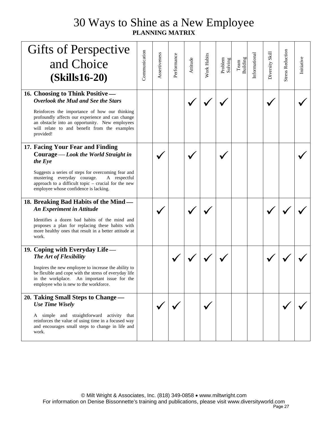| <b>Gifts of Perspective</b>                                                                                                                                                                                      |               |               |             |          |                    |                    |                  |               |                 |                         |            |
|------------------------------------------------------------------------------------------------------------------------------------------------------------------------------------------------------------------|---------------|---------------|-------------|----------|--------------------|--------------------|------------------|---------------|-----------------|-------------------------|------------|
| and Choice                                                                                                                                                                                                       | Communication | Assertiveness | Performance | Attitude | <b>Work Habits</b> | Problem<br>Solving | Team<br>Building | Informational | Diversity Skill | <b>Stress Reduction</b> | Initiative |
| <b>(Skills16-20)</b>                                                                                                                                                                                             |               |               |             |          |                    |                    |                  |               |                 |                         |            |
| 16. Choosing to Think Positive -<br>Overlook the Mud and See the Stars                                                                                                                                           |               |               |             |          |                    |                    |                  |               |                 |                         |            |
| Reinforces the importance of how our thinking<br>profoundly affects our experience and can change<br>an obstacle into an opportunity. New employees<br>will relate to and benefit from the examples<br>provided! |               |               |             |          |                    |                    |                  |               |                 |                         |            |
| 17. Facing Your Fear and Finding                                                                                                                                                                                 |               |               |             |          |                    |                    |                  |               |                 |                         |            |
| Courage - Look the World Straight in<br>the Eye                                                                                                                                                                  |               |               |             |          |                    |                    |                  |               |                 |                         |            |
| Suggests a series of steps for overcoming fear and<br>mustering everyday courage.<br>A respectful<br>approach to a difficult topic – crucial for the new<br>employee whose confidence is lacking.                |               |               |             |          |                    |                    |                  |               |                 |                         |            |
| 18. Breaking Bad Habits of the Mind —<br><b>An Experiment in Attitude</b>                                                                                                                                        |               |               |             |          |                    |                    |                  |               |                 |                         |            |
| Identifies a dozen bad habits of the mind and<br>proposes a plan for replacing these habits with<br>more healthy ones that result in a better attitude at<br>work.                                               |               |               |             |          |                    |                    |                  |               |                 |                         |            |
| 19. Coping with Everyday Life —<br>The Art of Flexibility                                                                                                                                                        |               |               |             |          |                    |                    |                  |               |                 |                         |            |
| Inspires the new employee to increase the ability to<br>be flexible and cope with the stress of everyday life<br>in the workplace. An important issue for the<br>employee who is new to the workforce.           |               |               |             |          |                    |                    |                  |               |                 |                         |            |
| 20. Taking Small Steps to Change —                                                                                                                                                                               |               |               |             |          |                    |                    |                  |               |                 |                         |            |
| <b>Use Time Wisely</b>                                                                                                                                                                                           |               |               |             |          |                    |                    |                  |               |                 |                         |            |
| A simple and straightforward activity that<br>reinforces the value of using time in a focused way<br>and encourages small steps to change in life and<br>work.                                                   |               |               |             |          |                    |                    |                  |               |                 |                         |            |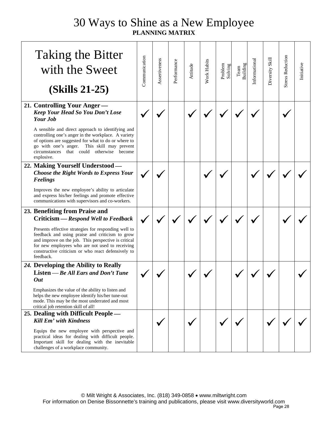| <b>Taking the Bitter</b><br>with the Sweet<br>$(Skills 21-25)$                                                                                                                                                                                                                                                                                                  | Communication | Assertiveness | Performance | Attitude | Work Habits | Problem<br>Solving | Team<br>Building | Informational | Diversity Skill | <b>Stress Reduction</b> | Initiative |
|-----------------------------------------------------------------------------------------------------------------------------------------------------------------------------------------------------------------------------------------------------------------------------------------------------------------------------------------------------------------|---------------|---------------|-------------|----------|-------------|--------------------|------------------|---------------|-----------------|-------------------------|------------|
| 21. Controlling Your Anger-<br>Keep Your Head So You Don't Lose<br><b>Your Job</b>                                                                                                                                                                                                                                                                              |               |               |             |          |             |                    |                  |               |                 |                         |            |
| A sensible and direct approach to identifying and<br>controlling one's anger in the workplace. A variety<br>of options are suggested for what to do or where to<br>go with one's anger. This skill may prevent<br>that could otherwise become<br>circumstances<br>explosive.                                                                                    |               |               |             |          |             |                    |                  |               |                 |                         |            |
| 22. Making Yourself Understood-<br><b>Choose the Right Words to Express Your</b><br><b>Feelings</b>                                                                                                                                                                                                                                                             |               |               |             |          |             |                    |                  |               |                 |                         |            |
| Improves the new employee's ability to articulate<br>and express his/her feelings and promote effective<br>communications with supervisors and co-workers.                                                                                                                                                                                                      |               |               |             |          |             |                    |                  |               |                 |                         |            |
| 23. Benefiting from Praise and<br>Criticism — Respond Well to Feedback<br>Presents effective strategies for responding well to<br>feedback and using praise and criticism to grow<br>and improve on the job. This perspective is critical<br>for new employees who are not used to receiving<br>constructive criticism or who react defensively to<br>feedback. |               |               |             |          |             |                    |                  |               |                 |                         |            |
| 24. Developing the Ability to Really<br>Listen - Be All Ears and Don't Tune<br><b>Out</b><br>Emphasizes the value of the ability to listen and<br>helps the new employee identify his/her tune-out<br>mode. This may be the most underrated and most<br>critical job retention skill of all!                                                                    |               |               |             |          |             |                    |                  |               |                 |                         |            |
| 25. Dealing with Difficult People -<br><b>Kill Em' with Kindness</b><br>Equips the new employee with perspective and<br>practical ideas for dealing with difficult people.<br>Important skill for dealing with the inevitable<br>challenges of a workplace community.                                                                                           |               |               |             |          |             |                    |                  |               |                 |                         |            |